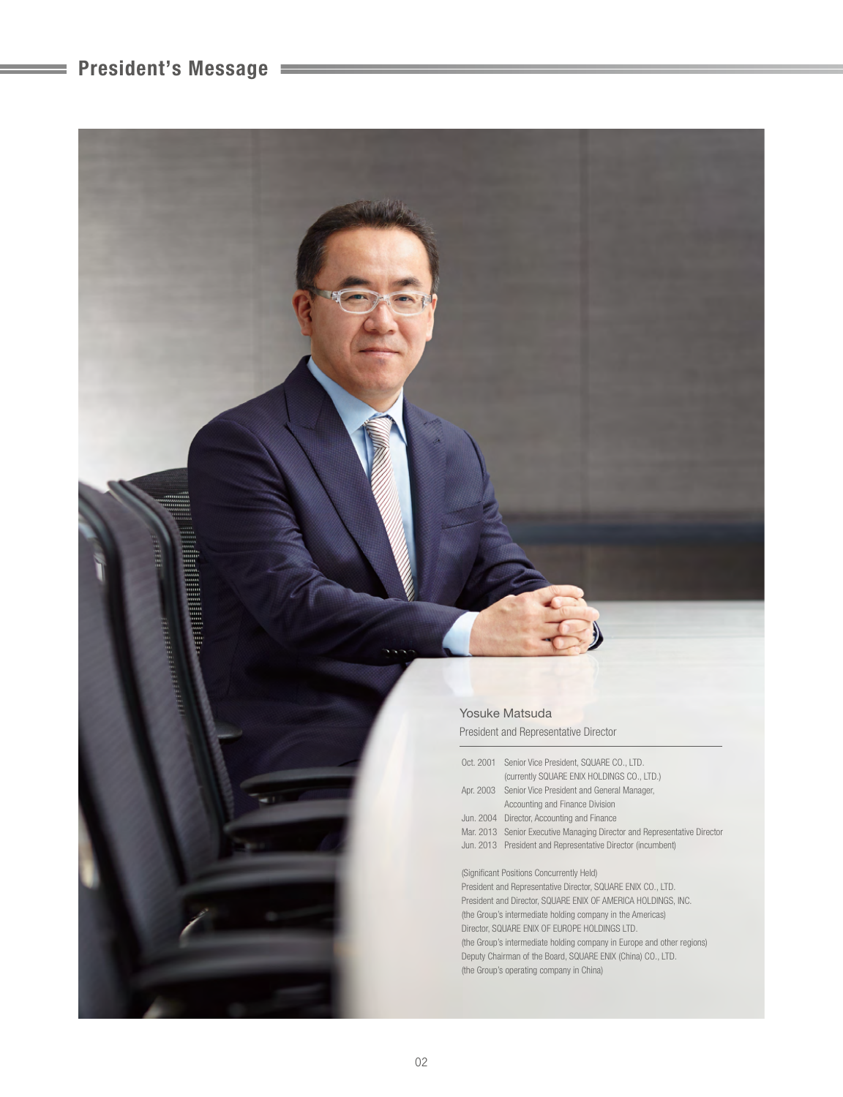# **President's Message**

| Yosuke Matsuda                        |  |
|---------------------------------------|--|
| President and Representative Director |  |

|                                                              | Oct. 2001 Senior Vice President, SQUARE CO., LTD.                        |  |
|--------------------------------------------------------------|--------------------------------------------------------------------------|--|
|                                                              | (currently SQUARE ENIX HOLDINGS CO., LTD.)                               |  |
|                                                              | Apr. 2003 Senior Vice President and General Manager,                     |  |
|                                                              | Accounting and Finance Division                                          |  |
|                                                              | Jun. 2004 Director, Accounting and Finance                               |  |
|                                                              | Mar. 2013 Senior Executive Managing Director and Representative Director |  |
|                                                              | Jun. 2013 President and Representative Director (incumbent)              |  |
|                                                              |                                                                          |  |
| (Significant Positions Concurrently Held)                    |                                                                          |  |
| President and Representative Director, SQUARE ENIX CO., LTD. |                                                                          |  |
|                                                              | President and Director, SQUARE ENIX OF AMERICA HOLDINGS, INC.            |  |
|                                                              |                                                                          |  |

(the Group's intermediate holding company in the Americas) Director, SQUARE ENIX OF EUROPE HOLDINGS LTD. (the Group's intermediate holding company in Europe and other regions) Deputy Chairman of the Board, SQUARE ENIX (China) CO., LTD. (the Group's operating company in China)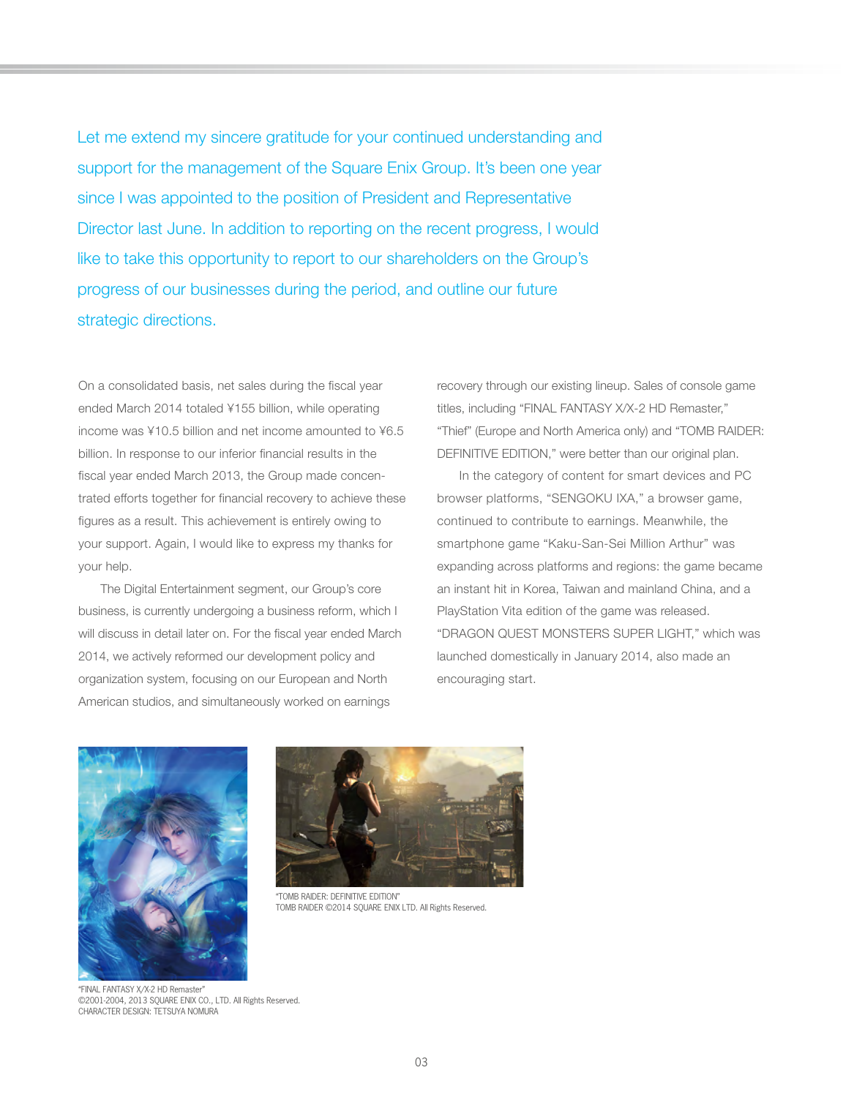Let me extend my sincere gratitude for your continued understanding and support for the management of the Square Enix Group. It's been one year since I was appointed to the position of President and Representative Director last June. In addition to reporting on the recent progress, I would like to take this opportunity to report to our shareholders on the Group's progress of our businesses during the period, and outline our future strategic directions.

On a consolidated basis, net sales during the fiscal year ended March 2014 totaled ¥155 billion, while operating income was ¥10.5 billion and net income amounted to ¥6.5 billion. In response to our inferior financial results in the fiscal year ended March 2013, the Group made concentrated efforts together for financial recovery to achieve these figures as a result. This achievement is entirely owing to your support. Again, I would like to express my thanks for your help.

 The Digital Entertainment segment, our Group's core business, is currently undergoing a business reform, which I will discuss in detail later on. For the fiscal year ended March 2014, we actively reformed our development policy and organization system, focusing on our European and North American studios, and simultaneously worked on earnings

recovery through our existing lineup. Sales of console game titles, including "FINAL FANTASY X/X-2 HD Remaster," "Thief" (Europe and North America only) and "TOMB RAIDER: DEFINITIVE EDITION," were better than our original plan.

 In the category of content for smart devices and PC browser platforms, "SENGOKU IXA," a browser game, continued to contribute to earnings. Meanwhile, the smartphone game "Kaku-San-Sei Million Arthur" was expanding across platforms and regions: the game became an instant hit in Korea, Taiwan and mainland China, and a PlayStation Vita edition of the game was released. "DRAGON QUEST MONSTERS SUPER LIGHT," which was launched domestically in January 2014, also made an encouraging start.





"TOMB RAIDER: DEFINITIVE EDITION" TOMB RAIDER ©2014 SQUARE ENIX LTD. All Rights Reserved.

"FINAL FANTASY X/X-2 HD Remaster" ©2001-2004, 2013 SQUARE ENIX CO., LTD. All Rights Reserved. CHARACTER DESIGN: TETSUYA NOMURA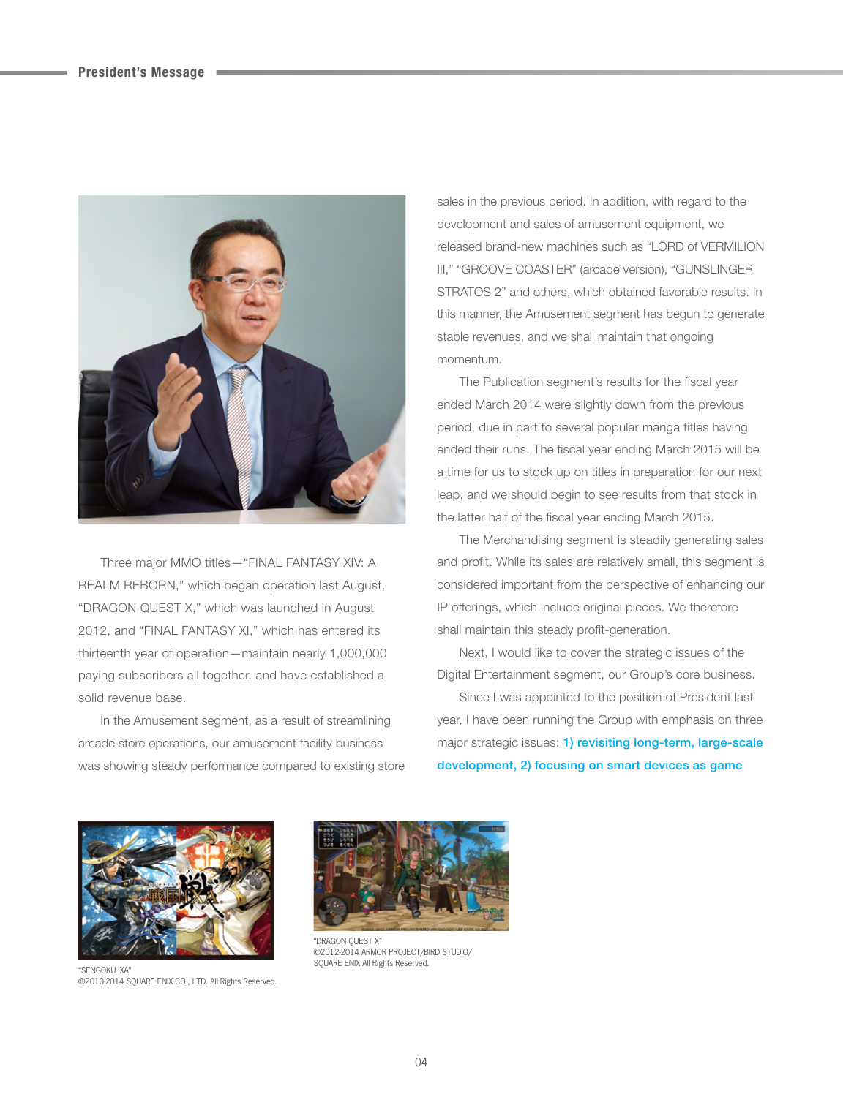

 Three major MMO titles—"FINAL FANTASY XIV: A REALM REBORN," which began operation last August, "DRAGON QUEST X," which was launched in August 2012, and "FINAL FANTASY XI," which has entered its thirteenth year of operation—maintain nearly 1,000,000 paying subscribers all together, and have established a solid revenue base.

 In the Amusement segment, as a result of streamlining arcade store operations, our amusement facility business was showing steady performance compared to existing store

sales in the previous period. In addition, with regard to the development and sales of amusement equipment, we released brand-new machines such as "LORD of VERMILION III," "GROOVE COASTER" (arcade version), "GUNSLINGER STRATOS 2" and others, which obtained favorable results. In this manner, the Amusement segment has begun to generate stable revenues, and we shall maintain that ongoing momentum.

The Publication segment's results for the fiscal year ended March 2014 were slightly down from the previous period, due in part to several popular manga titles having ended their runs. The fiscal year ending March 2015 will be a time for us to stock up on titles in preparation for our next leap, and we should begin to see results from that stock in the latter half of the fiscal year ending March 2015.

 The Merchandising segment is steadily generating sales and profit. While its sales are relatively small, this segment is considered important from the perspective of enhancing our IP offerings, which include original pieces. We therefore shall maintain this steady profit-generation.

 Next, I would like to cover the strategic issues of the Digital Entertainment segment, our Group's core business.

 Since I was appointed to the position of President last year, I have been running the Group with emphasis on three major strategic issues: **1) revisiting long-term, large-scale development, 2) focusing on smart devices as game** 



"SENGOKU IXA" ©2010-2014 SQUARE ENIX CO., LTD. All Rights Reserved.



"DRAGON QUEST X" ©2012-2014 ARMOR PROJECT/BIRD STUDIO/ SQUARE ENIX All Rights Reserved.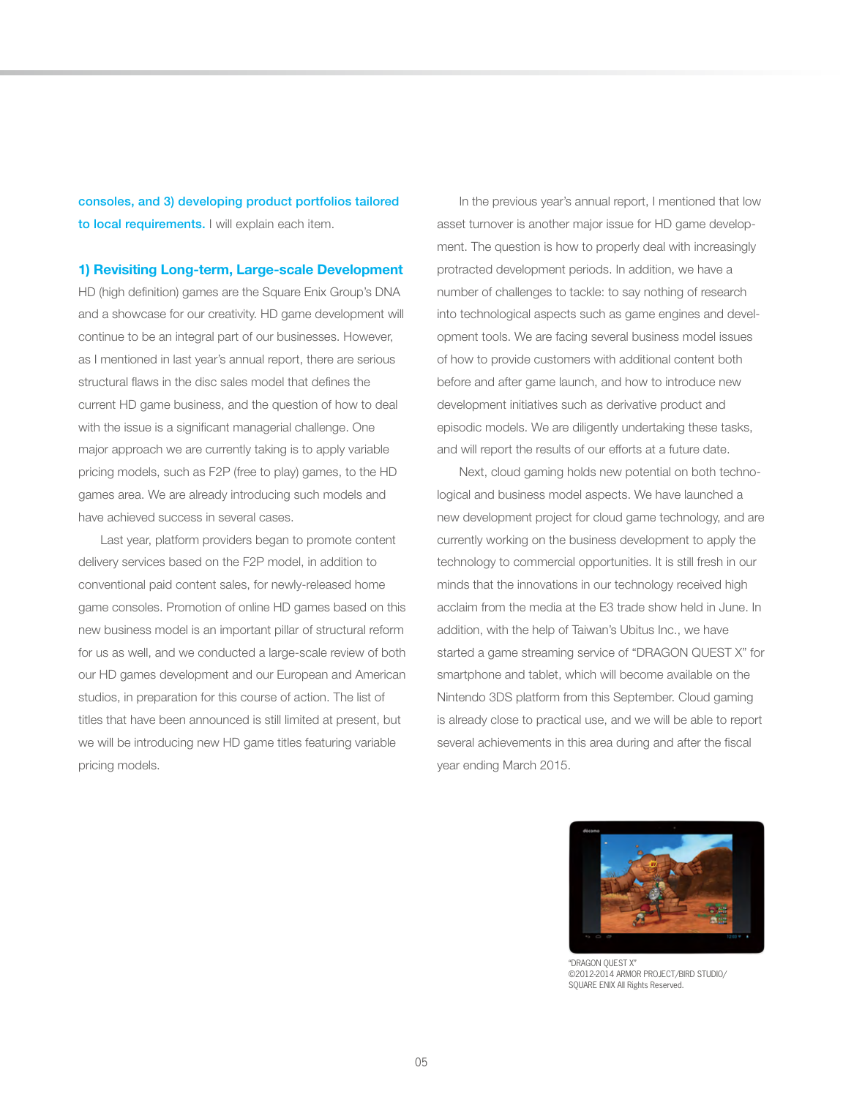**consoles, and 3) developing product portfolios tailored to local requirements.** I will explain each item.

#### **1) Revisiting Long-term, Large-scale Development**

HD (high definition) games are the Square Enix Group's DNA and a showcase for our creativity. HD game development will continue to be an integral part of our businesses. However, as I mentioned in last year's annual report, there are serious structural flaws in the disc sales model that defines the current HD game business, and the question of how to deal with the issue is a significant managerial challenge. One major approach we are currently taking is to apply variable pricing models, such as F2P (free to play) games, to the HD games area. We are already introducing such models and have achieved success in several cases.

 Last year, platform providers began to promote content delivery services based on the F2P model, in addition to conventional paid content sales, for newly-released home game consoles. Promotion of online HD games based on this new business model is an important pillar of structural reform for us as well, and we conducted a large-scale review of both our HD games development and our European and American studios, in preparation for this course of action. The list of titles that have been announced is still limited at present, but we will be introducing new HD game titles featuring variable pricing models.

 In the previous year's annual report, I mentioned that low asset turnover is another major issue for HD game development. The question is how to properly deal with increasingly protracted development periods. In addition, we have a number of challenges to tackle: to say nothing of research into technological aspects such as game engines and development tools. We are facing several business model issues of how to provide customers with additional content both before and after game launch, and how to introduce new development initiatives such as derivative product and episodic models. We are diligently undertaking these tasks, and will report the results of our efforts at a future date.

 Next, cloud gaming holds new potential on both technological and business model aspects. We have launched a new development project for cloud game technology, and are currently working on the business development to apply the technology to commercial opportunities. It is still fresh in our minds that the innovations in our technology received high acclaim from the media at the E3 trade show held in June. In addition, with the help of Taiwan's Ubitus Inc., we have started a game streaming service of "DRAGON QUEST X" for smartphone and tablet, which will become available on the Nintendo 3DS platform from this September. Cloud gaming is already close to practical use, and we will be able to report several achievements in this area during and after the fiscal year ending March 2015.



"DRAGON QUEST X" ©2012-2014 ARMOR PROJECT/BIRD STUDIO/ SQUARE ENIX All Rights Reserved.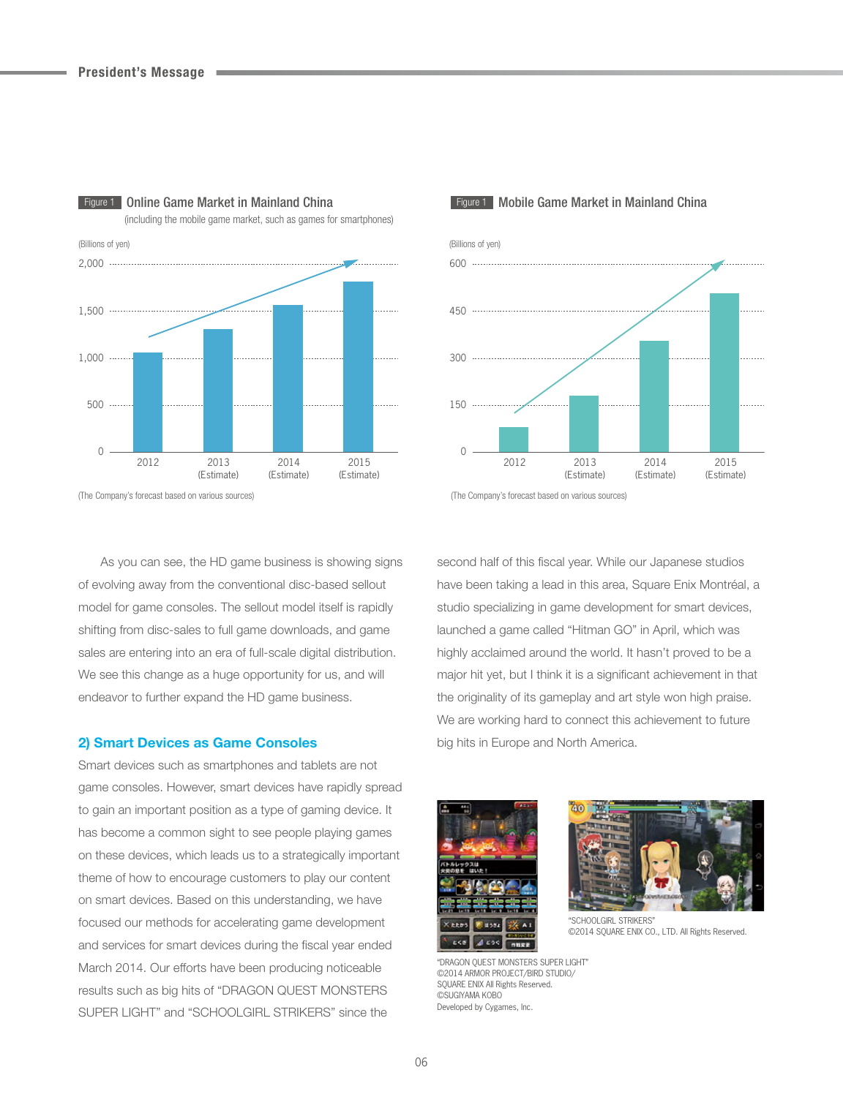

**Figure 1 Online Game Market in Mainland China** (including the mobile game market, such as games for smartphones)

(The Company's forecast based on various sources)

 As you can see, the HD game business is showing signs of evolving away from the conventional disc-based sellout model for game consoles. The sellout model itself is rapidly shifting from disc-sales to full game downloads, and game sales are entering into an era of full-scale digital distribution. We see this change as a huge opportunity for us, and will endeavor to further expand the HD game business.

## **2) Smart Devices as Game Consoles**

Smart devices such as smartphones and tablets are not game consoles. However, smart devices have rapidly spread to gain an important position as a type of gaming device. It has become a common sight to see people playing games on these devices, which leads us to a strategically important theme of how to encourage customers to play our content on smart devices. Based on this understanding, we have focused our methods for accelerating game development and services for smart devices during the fiscal year ended March 2014. Our efforts have been producing noticeable results such as big hits of "DRAGON QUEST MONSTERS SUPER LIGHT" and "SCHOOLGIRL STRIKERS" since the



### Figure 1 Mobile Game Market in Mainland China

(The Company's forecast based on various sources)

second half of this fiscal year. While our Japanese studios have been taking a lead in this area, Square Enix Montréal, a studio specializing in game development for smart devices, launched a game called "Hitman GO" in April, which was highly acclaimed around the world. It hasn't proved to be a major hit yet, but I think it is a significant achievement in that the originality of its gameplay and art style won high praise. We are working hard to connect this achievement to future big hits in Europe and North America.





"SCHOOLGIRL STRIKERS" ©2014 SQUARE ENIX CO., LTD. All Rights Reserved.

"DRAGON QUEST MONSTERS SUPER LIGHT" ©2014 ARMOR PROJECT/BIRD STUDIO/ SQUARE ENIX All Rights Reserved. ©SUGIYAMA KOBO Developed by Cygames, Inc.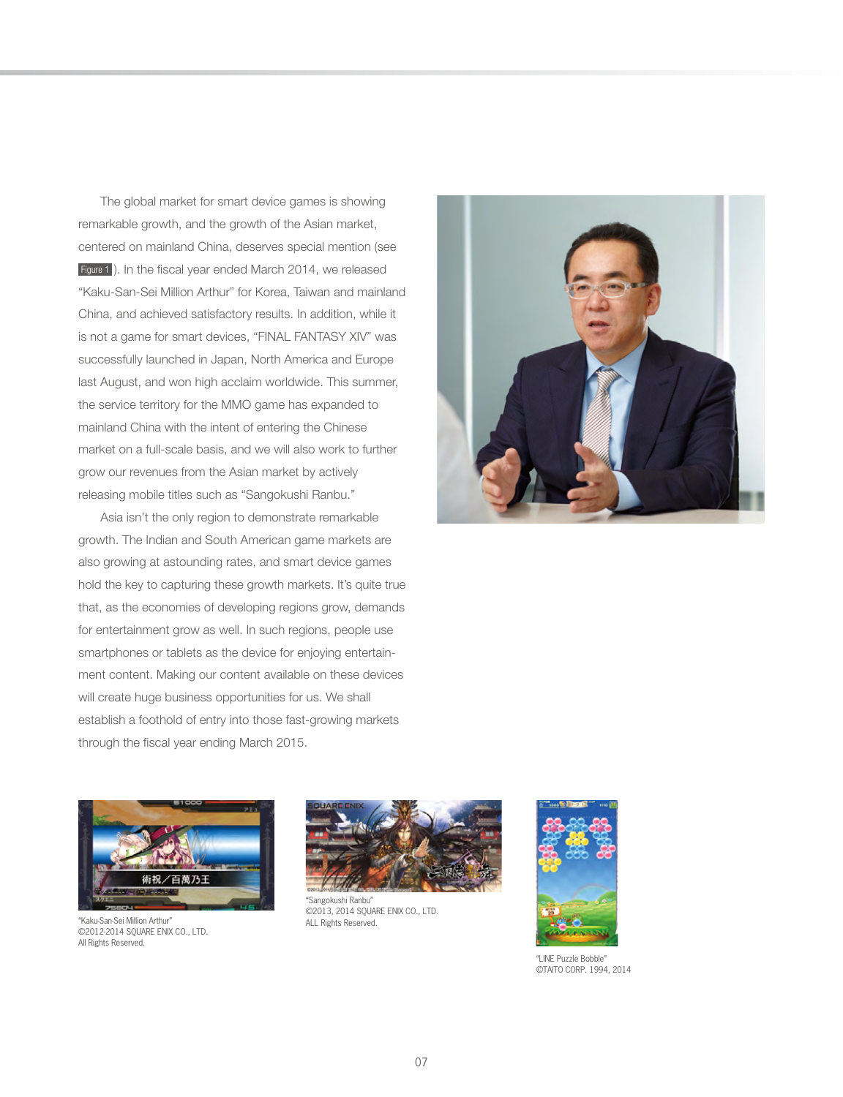The global market for smart device games is showing remarkable growth, and the growth of the Asian market, centered on mainland China, deserves special mention (see Figure 1 ). In the fiscal year ended March 2014, we released "Kaku-San-Sei Million Arthur" for Korea, Taiwan and mainland China, and achieved satisfactory results. In addition, while it is not a game for smart devices, "FINAL FANTASY XIV" was successfully launched in Japan, North America and Europe last August, and won high acclaim worldwide. This summer, the service territory for the MMO game has expanded to mainland China with the intent of entering the Chinese market on a full-scale basis, and we will also work to further grow our revenues from the Asian market by actively releasing mobile titles such as "Sangokushi Ranbu."

 Asia isn't the only region to demonstrate remarkable growth. The Indian and South American game markets are also growing at astounding rates, and smart device games hold the key to capturing these growth markets. It's quite true that, as the economies of developing regions grow, demands for entertainment grow as well. In such regions, people use smartphones or tablets as the device for enjoying entertainment content. Making our content available on these devices will create huge business opportunities for us. We shall establish a foothold of entry into those fast-growing markets through the fiscal year ending March 2015.





ALL Rights Reserved. "Kaku-San-Sei Million Arthur" ©2012-2014 SQUARE ENIX CO., LTD. All Rights Reserved.



"Sangokushi Ranbu" ©2013, 2014 SQUARE ENIX CO., LTD.



"LINE Puzzle Bobble" ©TAITO CORP. 1994, 2014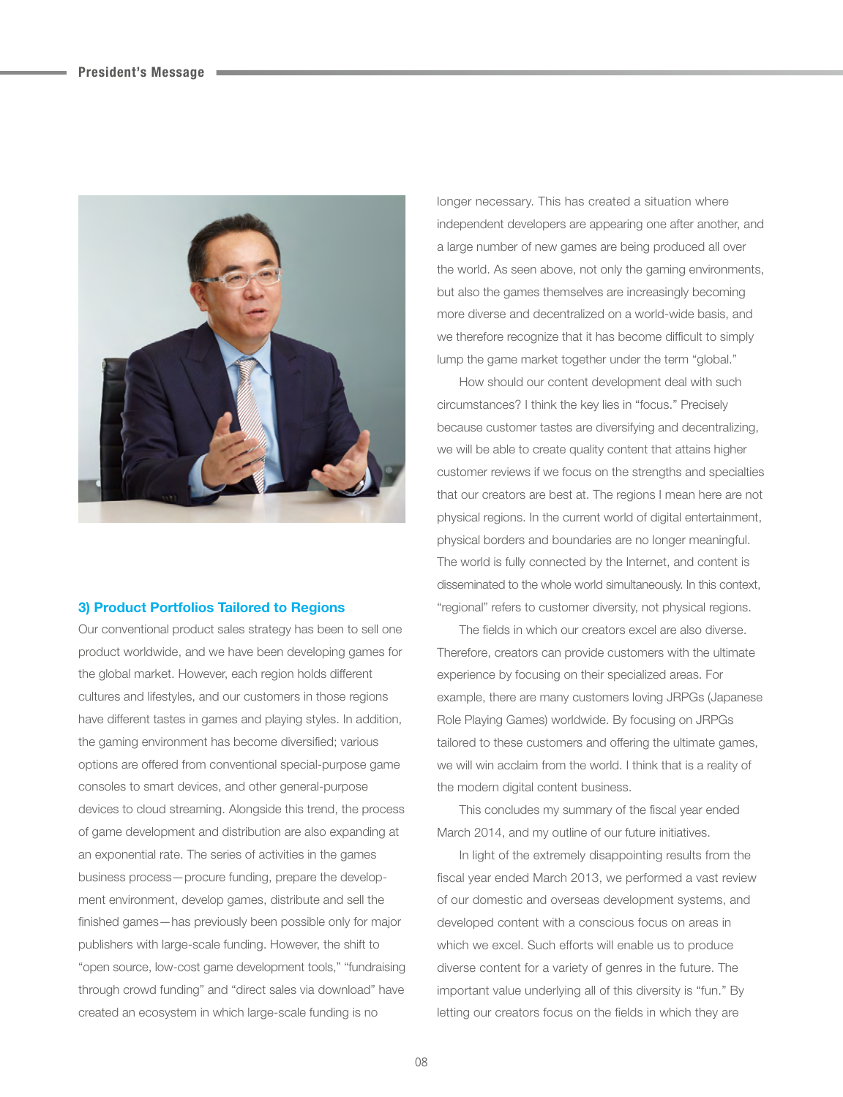

## **3) Product Portfolios Tailored to Regions**

Our conventional product sales strategy has been to sell one product worldwide, and we have been developing games for the global market. However, each region holds different cultures and lifestyles, and our customers in those regions have different tastes in games and playing styles. In addition, the gaming environment has become diversified; various options are offered from conventional special-purpose game consoles to smart devices, and other general-purpose devices to cloud streaming. Alongside this trend, the process of game development and distribution are also expanding at an exponential rate. The series of activities in the games business process—procure funding, prepare the development environment, develop games, distribute and sell the finished games—has previously been possible only for major publishers with large-scale funding. However, the shift to "open source, low-cost game development tools," "fundraising through crowd funding" and "direct sales via download" have created an ecosystem in which large-scale funding is no

longer necessary. This has created a situation where independent developers are appearing one after another, and a large number of new games are being produced all over the world. As seen above, not only the gaming environments, but also the games themselves are increasingly becoming more diverse and decentralized on a world-wide basis, and we therefore recognize that it has become difficult to simply lump the game market together under the term "global."

 How should our content development deal with such circumstances? I think the key lies in "focus." Precisely because customer tastes are diversifying and decentralizing, we will be able to create quality content that attains higher customer reviews if we focus on the strengths and specialties that our creators are best at. The regions I mean here are not physical regions. In the current world of digital entertainment, physical borders and boundaries are no longer meaningful. The world is fully connected by the Internet, and content is disseminated to the whole world simultaneously. In this context, "regional" refers to customer diversity, not physical regions.

 The fields in which our creators excel are also diverse. Therefore, creators can provide customers with the ultimate experience by focusing on their specialized areas. For example, there are many customers loving JRPGs (Japanese Role Playing Games) worldwide. By focusing on JRPGs tailored to these customers and offering the ultimate games, we will win acclaim from the world. I think that is a reality of the modern digital content business.

 This concludes my summary of the fiscal year ended March 2014, and my outline of our future initiatives.

 In light of the extremely disappointing results from the fiscal year ended March 2013, we performed a vast review of our domestic and overseas development systems, and developed content with a conscious focus on areas in which we excel. Such efforts will enable us to produce diverse content for a variety of genres in the future. The important value underlying all of this diversity is "fun." By letting our creators focus on the fields in which they are